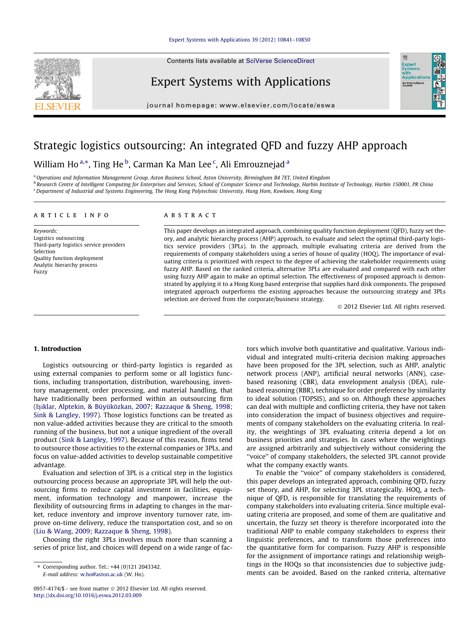#### [Expert Systems with Applications 39 \(2012\) 10841–10850](http://dx.doi.org/10.1016/j.eswa.2012.03.009)

Contents lists available at [SciVerse ScienceDirect](http://www.sciencedirect.com/science/journal/09574174)



journal homepage: [www.elsevier.com/locate/eswa](http://www.elsevier.com/locate/eswa)

## Strategic logistics outsourcing: An integrated QFD and fuzzy AHP approach

### William Ho $^{\mathrm{a},\ast},$  Ting He $^{\mathrm{b}}$ , Carman Ka Man Lee $^{\mathrm{c}}$ , Ali Emrouznejad $^{\mathrm{a}}$

a Operations and Information Management Group, Aston Business School, Aston University, Birmingham B4 7ET, United Kingdom <sup>b</sup> Research Centre of Intelligent Computing for Enterprises and Services, School of Computer Science and Technology, Harbin Institute of Technology, Harbin 150001, PR China <sup>c</sup> Department of Industrial and Systems Engineering, The Hong Kong Polytechnic University, Hung Hom, Kowloon, Hong Kong

#### article info

Keywords: Logistics outsourcing Third-party logistics service providers Selection Quality function deployment Analytic hierarchy process Fuzzy

#### ABSTRACT

This paper develops an integrated approach, combining quality function deployment (QFD), fuzzy set theory, and analytic hierarchy process (AHP) approach, to evaluate and select the optimal third-party logistics service providers (3PLs). In the approach, multiple evaluating criteria are derived from the requirements of company stakeholders using a series of house of quality (HOQ). The importance of evaluating criteria is prioritized with respect to the degree of achieving the stakeholder requirements using fuzzy AHP. Based on the ranked criteria, alternative 3PLs are evaluated and compared with each other using fuzzy AHP again to make an optimal selection. The effectiveness of proposed approach is demonstrated by applying it to a Hong Kong based enterprise that supplies hard disk components. The proposed integrated approach outperforms the existing approaches because the outsourcing strategy and 3PLs selection are derived from the corporate/business strategy.

- 2012 Elsevier Ltd. All rights reserved.

#### 1. Introduction

Logistics outsourcing or third-party logistics is regarded as using external companies to perform some or all logistics functions, including transportation, distribution, warehousing, inventory management, order processing, and material handling, that have traditionally been performed within an outsourcing firm ([I](#page--1-0)ş[ıklar, Alptekin, & Büyüközkan, 2007; Razzaque & Sheng, 1998;](#page--1-0) [Sink & Langley, 1997](#page--1-0)). Those logistics functions can be treated as non value-added activities because they are critical to the smooth running of the business, but not a unique ingredient of the overall product ([Sink & Langley, 1997](#page--1-0)). Because of this reason, firms tend to outsource those activities to the external companies or 3PLs, and focus on value-added activities to develop sustainable competitive advantage.

Evaluation and selection of 3PL is a critical step in the logistics outsourcing process because an appropriate 3PL will help the outsourcing firms to reduce capital investment in facilities, equipment, information technology and manpower, increase the flexibility of outsourcing firms in adapting to changes in the market, reduce inventory and improve inventory turnover rate, improve on-time delivery, reduce the transportation cost, and so on ([Liu & Wang, 2009; Razzaque & Sheng, 1998](#page--1-0)).

Choosing the right 3PLs involves much more than scanning a series of price list, and choices will depend on a wide range of factors which involve both quantitative and qualitative. Various individual and integrated multi-criteria decision making approaches have been proposed for the 3PL selection, such as AHP, analytic network process (ANP), artificial neural networks (ANN), casebased reasoning (CBR), data envelopment analysis (DEA), rulebased reasoning (RBR), technique for order preference by similarity to ideal solution (TOPSIS), and so on. Although these approaches can deal with multiple and conflicting criteria, they have not taken into consideration the impact of business objectives and requirements of company stakeholders on the evaluating criteria. In reality, the weightings of 3PL evaluating criteria depend a lot on business priorities and strategies. In cases where the weightings are assigned arbitrarily and subjectively without considering the ''voice'' of company stakeholders, the selected 3PL cannot provide what the company exactly wants.

To enable the ''voice'' of company stakeholders is considered, this paper develops an integrated approach, combining QFD, fuzzy set theory, and AHP, for selecting 3PL strategically. HOQ, a technique of QFD, is responsible for translating the requirements of company stakeholders into evaluating criteria. Since multiple evaluating criteria are proposed, and some of them are qualitative and uncertain, the fuzzy set theory is therefore incorporated into the traditional AHP to enable company stakeholders to express their linguistic preferences, and to transform those preferences into the quantitative form for comparison. Fuzzy AHP is responsible for the assignment of importance ratings and relationship weightings in the HOQs so that inconsistencies due to subjective judgments can be avoided. Based on the ranked criteria, alternative





<sup>⇑</sup> Corresponding author. Tel.: +44 (0)121 2043342. E-mail address: [w.ho@aston.ac.uk](mailto:w.ho@aston.ac.uk) (W. Ho).

<sup>0957-4174/\$ -</sup> see front matter © 2012 Elsevier Ltd. All rights reserved. <http://dx.doi.org/10.1016/j.eswa.2012.03.009>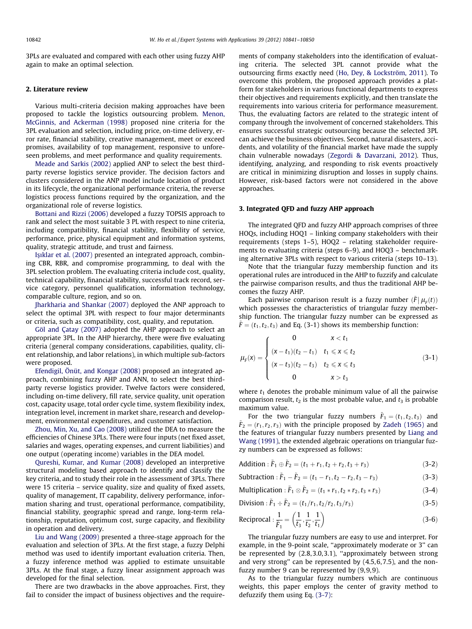3PLs are evaluated and compared with each other using fuzzy AHP again to make an optimal selection.

#### 2. Literature review

Various multi-criteria decision making approaches have been proposed to tackle the logistics outsourcing problem. [Menon,](#page--1-0) [McGinnis, and Ackerman \(1998\)](#page--1-0) proposed nine criteria for the 3PL evaluation and selection, including price, on-time delivery, error rate, financial stability, creative management, meet or exceed promises, availability of top management, responsive to unforeseen problems, and meet performance and quality requirements.

[Meade and Sarkis \(2002\)](#page--1-0) applied ANP to select the best thirdparty reverse logistics service provider. The decision factors and clusters considered in the ANP model include location of product in its lifecycle, the organizational performance criteria, the reverse logistics process functions required by the organization, and the organizational role of reverse logistics.

[Bottani and Rizzi \(2006\)](#page--1-0) developed a fuzzy TOPSIS approach to rank and select the most suitable 3 PL with respect to nine criteria, including compatibility, financial stability, flexibility of service, performance, price, physical equipment and information systems, quality, strategic attitude, and trust and fairness.

Iş[ıklar et al. \(2007\)](#page--1-0) presented an integrated approach, combining CBR, RBR, and compromise programming, to deal with the 3PL selection problem. The evaluating criteria include cost, quality, technical capability, financial stability, successful track record, service category, personnel qualification, information technology, comparable culture, region, and so on.

[Jharkharia and Shankar \(2007\)](#page--1-0) deployed the ANP approach to select the optimal 3PL with respect to four major determinants or criteria, such as compatibility, cost, quality, and reputation.

[Göl and Çatay \(2007\)](#page--1-0) adopted the AHP approach to select an appropriate 3PL. In the AHP hierarchy, there were five evaluating criteria (general company considerations, capabilities, quality, client relationship, and labor relations), in which multiple sub-factors were proposed.

[Efendigil, Önüt, and Kongar \(2008\)](#page--1-0) proposed an integrated approach, combining fuzzy AHP and ANN, to select the best thirdparty reverse logistics provider. Twelve factors were considered, including on-time delivery, fill rate, service quality, unit operation cost, capacity usage, total order cycle time, system flexibility index, integration level, increment in market share, research and development, environmental expenditures, and customer satisfaction.

[Zhou, Min, Xu, and Cao \(2008\)](#page--1-0) utilized the DEA to measure the efficiencies of Chinese 3PLs. There were four inputs (net fixed asset, salaries and wages, operating expenses, and current liabilities) and one output (operating income) variables in the DEA model.

[Qureshi, Kumar, and Kumar \(2008\)](#page--1-0) developed an interpretive structural modeling based approach to identify and classify the key criteria, and to study their role in the assessment of 3PLs. There were 15 criteria – service quality, size and quality of fixed assets, quality of management, IT capability, delivery performance, information sharing and trust, operational performance, compatibility, financial stability, geographic spread and range, long-term relationship, reputation, optimum cost, surge capacity, and flexibility in operation and delivery.

[Liu and Wang \(2009\)](#page--1-0) presented a three-stage approach for the evaluation and selection of 3PLs. At the first stage, a fuzzy Delphi method was used to identify important evaluation criteria. Then, a fuzzy inference method was applied to estimate unsuitable 3PLs. At the final stage, a fuzzy linear assignment approach was developed for the final selection.

There are two drawbacks in the above approaches. First, they fail to consider the impact of business objectives and the requirements of company stakeholders into the identification of evaluating criteria. The selected 3PL cannot provide what the outsourcing firms exactly need [\(Ho, Dey, & Lockström, 2011](#page--1-0)). To overcome this problem, the proposed approach provides a platform for stakeholders in various functional departments to express their objectives and requirements explicitly, and then translate the requirements into various criteria for performance measurement. Thus, the evaluating factors are related to the strategic intent of company through the involvement of concerned stakeholders. This ensures successful strategic outsourcing because the selected 3PL can achieve the business objectives. Second, natural disasters, accidents, and volatility of the financial market have made the supply chain vulnerable nowadays ([Zegordi & Davarzani, 2012](#page--1-0)). Thus, identifying, analyzing, and responding to risk events proactively are critical in minimizing disruption and losses in supply chains. However, risk-based factors were not considered in the above approaches.

#### 3. Integrated QFD and fuzzy AHP approach

The integrated QFD and fuzzy AHP approach comprises of three HOQs, including HOQ1 – linking company stakeholders with their requirements (steps 1–5), HOQ2 – relating stakeholder requirements to evaluating criteria (steps 6–9), and HOQ3 – benchmarking alternative 3PLs with respect to various criteria (steps 10–13).

Note that the triangular fuzzy membership function and its operational rules are introduced in the AHP to fuzzify and calculate the pairwise comparison results, and thus the traditional AHP becomes the fuzzy AHP.

Each pairwise comparison result is a fuzzy number  $(\tilde{F} | \mu_F(t))$ which possesses the characteristics of triangular fuzzy membership function. The triangular fuzzy number can be expressed as  $\tilde{F} = (t_1, t_2, t_3)$  and Eq. (3-1) shows its membership function:

$$
\mu_F(x) = \begin{cases}\n0 & x < t_1 \\
(x - t_1)(t_2 - t_1) & t_1 \le x \le t_2 \\
(x - t_3)(t_2 - t_3) & t_2 \le x \le t_3 \\
0 & x > t_3\n\end{cases}
$$
\n(3-1)

where  $t_1$  denotes the probable minimum value of all the pairwise comparison result,  $t_2$  is the most probable value, and  $t_3$  is probable maximum value.

For the two triangular fuzzy numbers  $\tilde{F}_1 = (t_1, t_2, t_3)$  and  $\tilde{F}_2 = (r_1, r_2, r_3)$  with the principle proposed by [Zadeh \(1965\)](#page--1-0) and the features of triangular fuzzy numbers presented by [Liang and](#page--1-0) [Wang \(1991\)](#page--1-0), the extended algebraic operations on triangular fuzzy numbers can be expressed as follows:

Addition: 
$$
\tilde{F}_1 \oplus \tilde{F}_2 = (t_1 + r_1, t_2 + r_2, t_3 + r_3)
$$
 (3-2)

Subtraction: 
$$
\tilde{F}_1 - \tilde{F}_2 = (t_1 - r_1, t_2 - r_2, t_3 - r_3)
$$
 (3-3)

Multiplication : 
$$
\tilde{F}_1 \otimes \tilde{F}_2 = (t_1 * r_1, t_2 * r_2, t_3 * r_3)
$$
 (3-4)

Division: 
$$
\tilde{F}_1 \div \tilde{F}_2 = (t_1/r_1, t_2/r_2, t_3/r_3)
$$
 (3-5)

$$
\text{Reciprocal}: \frac{1}{\tilde{F}_1} = \left(\frac{1}{t_3}, \frac{1}{t_2}, \frac{1}{t_1}\right) \tag{3-6}
$$

The triangular fuzzy numbers are easy to use and interpret. For example, in the 9-point scale, ''approximately moderate or 3'' can be represented by (2.8,3.0,3.1), ''approximately between strong and very strong'' can be represented by (4.5,6,7.5), and the nonfuzzy number 9 can be represented by (9,9,9).

As to the triangular fuzzy numbers which are continuous weights, this paper employs the center of gravity method to defuzzify them using Eq. [\(3-7\)](#page--1-0):